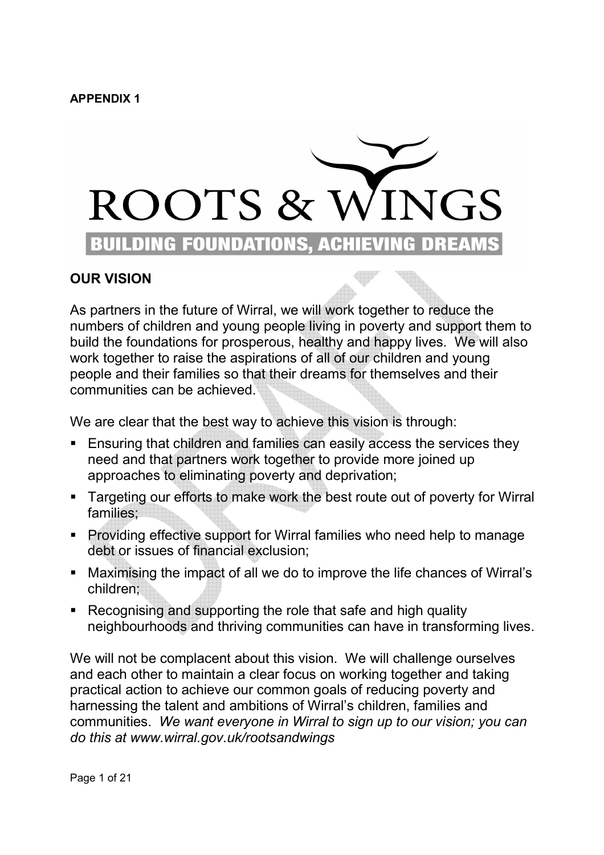### **APPENDIX 1**



# **OUR VISION**

As partners in the future of Wirral, we will work together to reduce the numbers of children and young people living in poverty and support them to build the foundations for prosperous, healthy and happy lives. We will also work together to raise the aspirations of all of our children and young people and their families so that their dreams for themselves and their communities can be achieved.

We are clear that the best way to achieve this vision is through:

- Ensuring that children and families can easily access the services they need and that partners work together to provide more joined up approaches to eliminating poverty and deprivation;
- Targeting our efforts to make work the best route out of poverty for Wirral families;
- § Providing effective support for Wirral families who need help to manage debt or issues of financial exclusion;
- Maximising the impact of all we do to improve the life chances of Wirral's children;
- Recognising and supporting the role that safe and high quality neighbourhoods and thriving communities can have in transforming lives.

We will not be complacent about this vision. We will challenge ourselves and each other to maintain a clear focus on working together and taking practical action to achieve our common goals of reducing poverty and harnessing the talent and ambitions of Wirral's children, families and communities. *We want everyone in Wirral to sign up to our vision; you can do this at www.wirral.gov.uk/rootsandwings*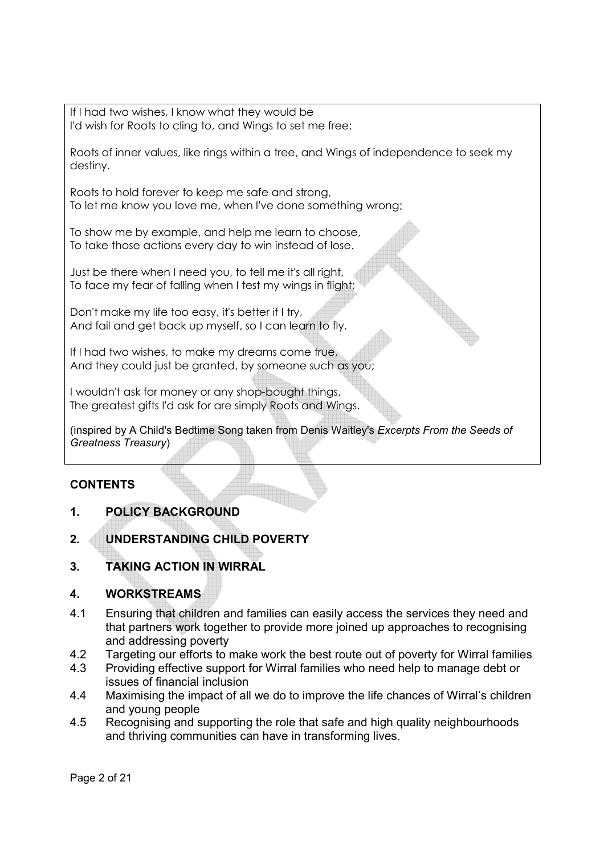If I had two wishes, I know what they would be I'd wish for Roots to cling to, and Wings to set me free;

Roots of inner values, like rings within a tree, and Wings of independence to seek my destiny.

Roots to hold forever to keep me safe and strong, To let me know you love me, when I've done something wrong;

To show me by example, and help me learn to choose, To take those actions every day to win instead of lose.

Just be there when I need you, to tell me it's all right, To face my fear of falling when I test my wings in flight;

Don't make my life too easy, it's better if I try, And fail and get back up myself, so I can learn to fly.

If I had two wishes, to make my dreams come true, And they could just be granted, by someone such as you;

I wouldn't ask for money or any shop-bought things, The greatest gifts I'd ask for are simply Roots and Wings.

(inspired by A Child's Bedtime Song taken from Denis Waitley's *Excerpts From the Seeds of Greatness Treasury*)

## **CONTENTS**

- **1. POLICY BACKGROUND**
- **2. UNDERSTANDING CHILD POVERTY**
- **3. TAKING ACTION IN WIRRAL**

## **4. WORKSTREAMS**

- 4.1 Ensuring that children and families can easily access the services they need and that partners work together to provide more joined up approaches to recognising and addressing poverty
- 4.2 Targeting our efforts to make work the best route out of poverty for Wirral families
- 4.3 Providing effective support for Wirral families who need help to manage debt or issues of financial inclusion
- 4.4 Maximising the impact of all we do to improve the life chances of Wirral's children and young people
- 4.5 Recognising and supporting the role that safe and high quality neighbourhoods and thriving communities can have in transforming lives.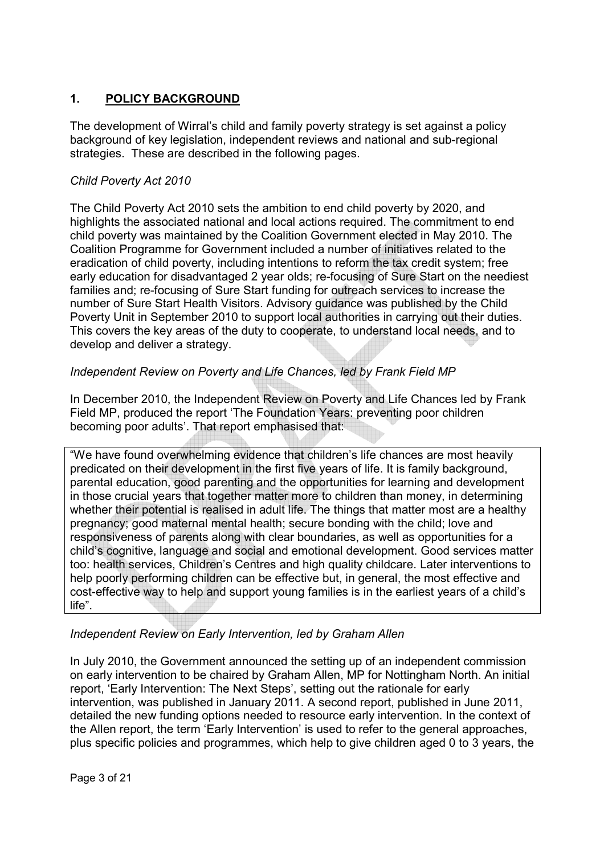## **1. POLICY BACKGROUND**

The development of Wirral's child and family poverty strategy is set against a policy background of key legislation, independent reviews and national and sub-regional strategies. These are described in the following pages.

### *Child Poverty Act 2010*

The Child Poverty Act 2010 sets the ambition to end child poverty by 2020, and highlights the associated national and local actions required. The commitment to end child poverty was maintained by the Coalition Government elected in May 2010. The Coalition Programme for Government included a number of initiatives related to the eradication of child poverty, including intentions to reform the tax credit system; free early education for disadvantaged 2 year olds; re-focusing of Sure Start on the neediest families and; re-focusing of Sure Start funding for outreach services to increase the number of Sure Start Health Visitors. Advisory guidance was published by the Child Poverty Unit in September 2010 to support local authorities in carrying out their duties. This covers the key areas of the duty to cooperate, to understand local needs, and to develop and deliver a strategy.

## *Independent Review on Poverty and Life Chances, led by Frank Field MP*

In December 2010, the Independent Review on Poverty and Life Chances led by Frank Field MP, produced the report 'The Foundation Years: preventing poor children becoming poor adults'. That report emphasised that:

"We have found overwhelming evidence that children's life chances are most heavily predicated on their development in the first five years of life. It is family background, parental education, good parenting and the opportunities for learning and development in those crucial years that together matter more to children than money, in determining whether their potential is realised in adult life. The things that matter most are a healthy pregnancy; good maternal mental health; secure bonding with the child; love and responsiveness of parents along with clear boundaries, as well as opportunities for a child's cognitive, language and social and emotional development. Good services matter too: health services, Children's Centres and high quality childcare. Later interventions to help poorly performing children can be effective but, in general, the most effective and cost-effective way to help and support young families is in the earliest years of a child's life".

## *Independent Review on Early Intervention, led by Graham Allen*

In July 2010, the Government announced the setting up of an independent commission on early intervention to be chaired by Graham Allen, MP for Nottingham North. An initial report, 'Early Intervention: The Next Steps', setting out the rationale for early intervention, was published in January 2011. A second report, published in June 2011, detailed the new funding options needed to resource early intervention. In the context of the Allen report, the term 'Early Intervention' is used to refer to the general approaches, plus specific policies and programmes, which help to give children aged 0 to 3 years, the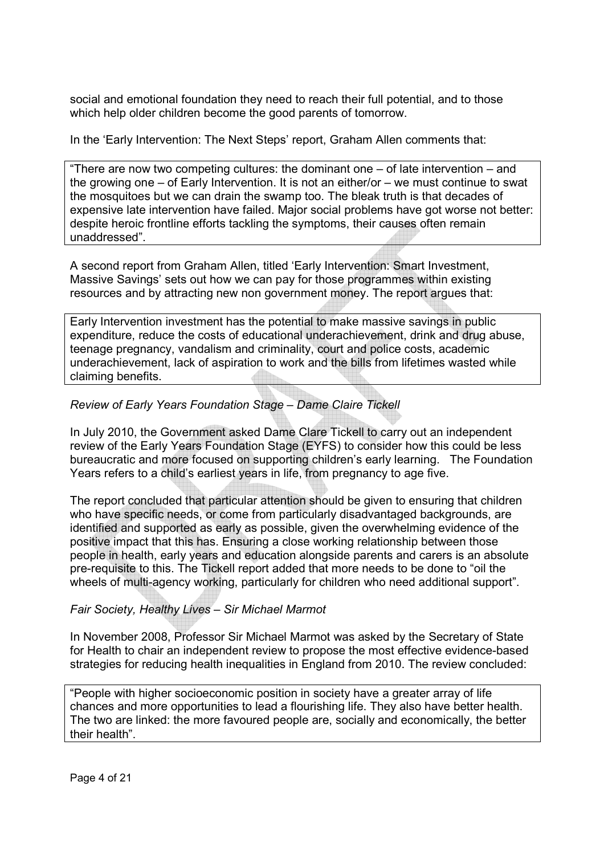social and emotional foundation they need to reach their full potential, and to those which help older children become the good parents of tomorrow.

In the 'Early Intervention: The Next Steps' report, Graham Allen comments that:

"There are now two competing cultures: the dominant one – of late intervention – and the growing one – of Early Intervention. It is not an either/or – we must continue to swat the mosquitoes but we can drain the swamp too. The bleak truth is that decades of expensive late intervention have failed. Major social problems have got worse not better: despite heroic frontline efforts tackling the symptoms, their causes often remain unaddressed".

A second report from Graham Allen, titled 'Early Intervention: Smart Investment, Massive Savings' sets out how we can pay for those programmes within existing resources and by attracting new non government money. The report argues that:

Early Intervention investment has the potential to make massive savings in public expenditure, reduce the costs of educational underachievement, drink and drug abuse, teenage pregnancy, vandalism and criminality, court and police costs, academic underachievement, lack of aspiration to work and the bills from lifetimes wasted while claiming benefits.

## *Review of Early Years Foundation Stage – Dame Claire Tickell*

In July 2010, the Government asked Dame Clare Tickell to carry out an independent review of the Early Years Foundation Stage (EYFS) to consider how this could be less bureaucratic and more focused on supporting children's early learning. The Foundation Years refers to a child's earliest years in life, from pregnancy to age five.

The report concluded that particular attention should be given to ensuring that children who have specific needs, or come from particularly disadvantaged backgrounds, are identified and supported as early as possible, given the overwhelming evidence of the positive impact that this has. Ensuring a close working relationship between those people in health, early years and education alongside parents and carers is an absolute pre-requisite to this. The Tickell report added that more needs to be done to "oil the wheels of multi-agency working, particularly for children who need additional support".

### *Fair Society, Healthy Lives – Sir Michael Marmot*

In November 2008, Professor Sir Michael Marmot was asked by the Secretary of State for Health to chair an independent review to propose the most effective evidence-based strategies for reducing health inequalities in England from 2010. The review concluded:

"People with higher socioeconomic position in society have a greater array of life chances and more opportunities to lead a flourishing life. They also have better health. The two are linked: the more favoured people are, socially and economically, the better their health".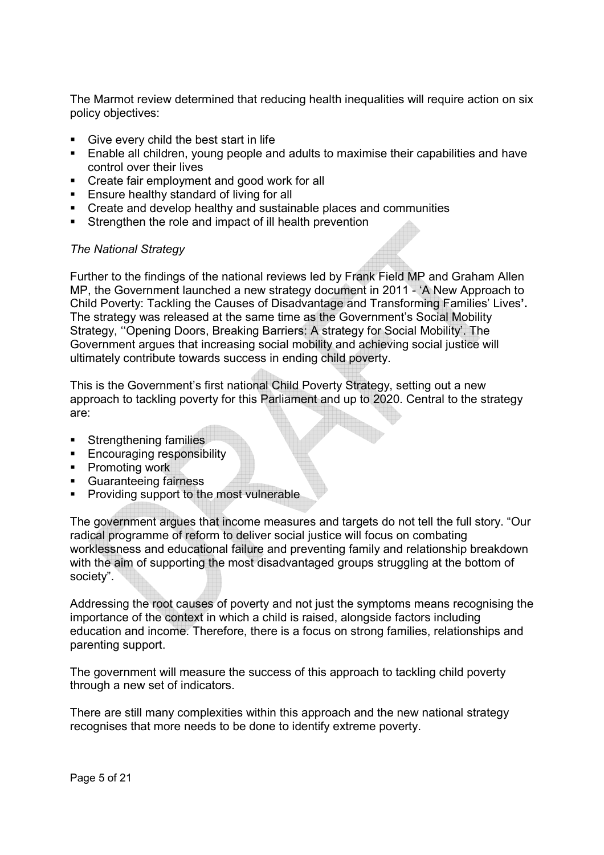The Marmot review determined that reducing health inequalities will require action on six policy objectives:

- Give every child the best start in life
- Enable all children, young people and adults to maximise their capabilities and have control over their lives
- Create fair employment and good work for all
- **Ensure healthy standard of living for all**
- Create and develop healthy and sustainable places and communities
- Strengthen the role and impact of ill health prevention

#### *The National Strategy*

Further to the findings of the national reviews led by Frank Field MP and Graham Allen MP, the Government launched a new strategy document in 2011 - 'A New Approach to Child Poverty: Tackling the Causes of Disadvantage and Transforming Families' Lives**'.**  The strategy was released at the same time as the Government's Social Mobility Strategy, ''Opening Doors, Breaking Barriers: A strategy for Social Mobility'. The Government argues that increasing social mobility and achieving social justice will ultimately contribute towards success in ending child poverty.

This is the Government's first national Child Poverty Strategy, setting out a new approach to tackling poverty for this Parliament and up to 2020. Central to the strategy are:

- Strengthening families
- **Encouraging responsibility**
- Promoting work
- § Guaranteeing fairness
- Providing support to the most vulnerable

The government argues that income measures and targets do not tell the full story. "Our radical programme of reform to deliver social justice will focus on combating worklessness and educational failure and preventing family and relationship breakdown with the aim of supporting the most disadvantaged groups struggling at the bottom of society".

Addressing the root causes of poverty and not just the symptoms means recognising the importance of the context in which a child is raised, alongside factors including education and income. Therefore, there is a focus on strong families, relationships and parenting support.

The government will measure the success of this approach to tackling child poverty through a new set of indicators.

There are still many complexities within this approach and the new national strategy recognises that more needs to be done to identify extreme poverty.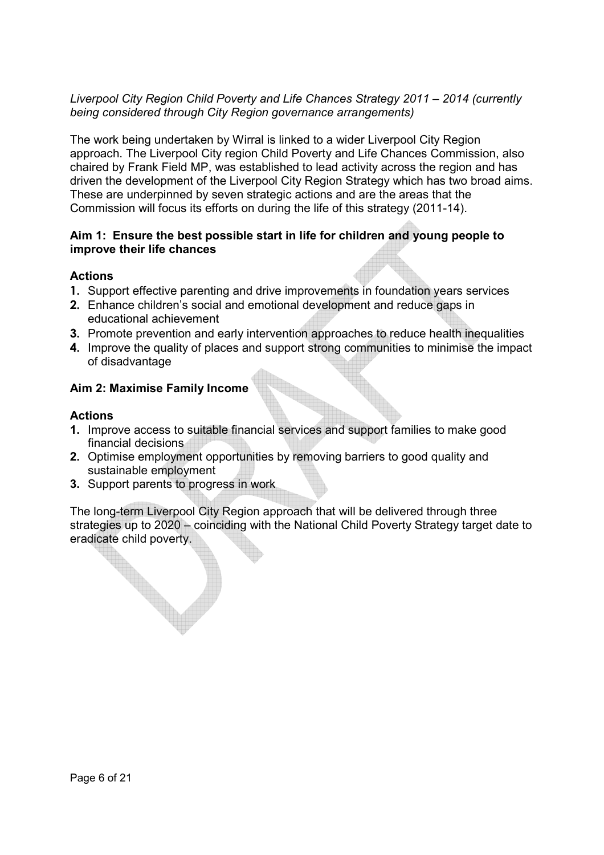## *Liverpool City Region Child Poverty and Life Chances Strategy 2011 – 2014 (currently being considered through City Region governance arrangements)*

The work being undertaken by Wirral is linked to a wider Liverpool City Region approach. The Liverpool City region Child Poverty and Life Chances Commission, also chaired by Frank Field MP, was established to lead activity across the region and has driven the development of the Liverpool City Region Strategy which has two broad aims. These are underpinned by seven strategic actions and are the areas that the Commission will focus its efforts on during the life of this strategy (2011-14).

### **Aim 1: Ensure the best possible start in life for children and young people to improve their life chances**

## **Actions**

- **1.** Support effective parenting and drive improvements in foundation years services
- **2.** Enhance children's social and emotional development and reduce gaps in educational achievement
- **3.** Promote prevention and early intervention approaches to reduce health inequalities
- **4.** Improve the quality of places and support strong communities to minimise the impact of disadvantage

## **Aim 2: Maximise Family Income**

## **Actions**

- **1.** Improve access to suitable financial services and support families to make good financial decisions
- **2.** Optimise employment opportunities by removing barriers to good quality and sustainable employment
- **3.** Support parents to progress in work

The long-term Liverpool City Region approach that will be delivered through three strategies up to 2020 – coinciding with the National Child Poverty Strategy target date to eradicate child poverty.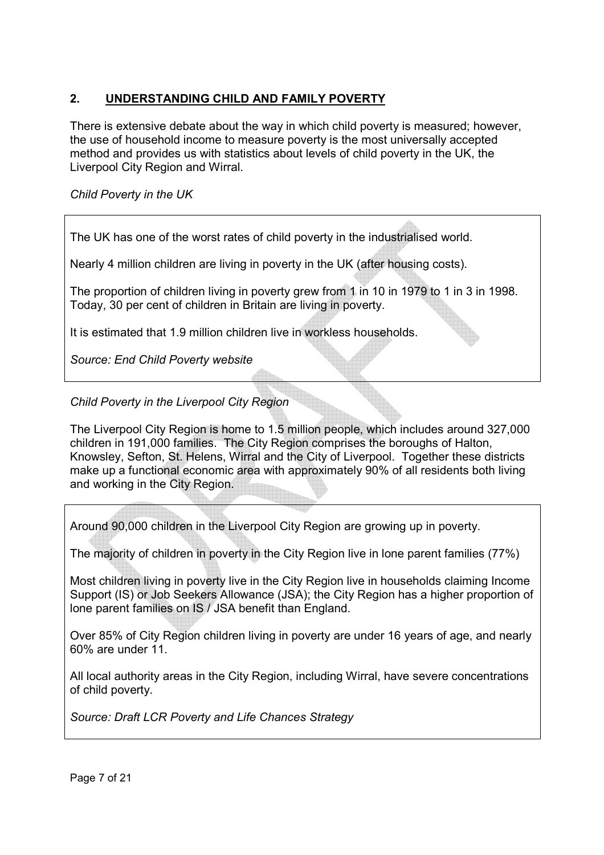## **2. UNDERSTANDING CHILD AND FAMILY POVERTY**

There is extensive debate about the way in which child poverty is measured; however, the use of household income to measure poverty is the most universally accepted method and provides us with statistics about levels of child poverty in the UK, the Liverpool City Region and Wirral.

## *Child Poverty in the UK*

The UK has one of the worst rates of child poverty in the industrialised world.

Nearly 4 million children are living in poverty in the UK (after housing costs).

The proportion of children living in poverty grew from 1 in 10 in 1979 to 1 in 3 in 1998. Today, 30 per cent of children in Britain are living in poverty.

It is estimated that 1.9 million children live in workless households.

*Source: End Child Poverty website* 

## *Child Poverty in the Liverpool City Region*

The Liverpool City Region is home to 1.5 million people, which includes around 327,000 children in 191,000 families. The City Region comprises the boroughs of Halton, Knowsley, Sefton, St. Helens, Wirral and the City of Liverpool. Together these districts make up a functional economic area with approximately 90% of all residents both living and working in the City Region.

Around 90,000 children in the Liverpool City Region are growing up in poverty.

The majority of children in poverty in the City Region live in lone parent families (77%)

Most children living in poverty live in the City Region live in households claiming Income Support (IS) or Job Seekers Allowance (JSA); the City Region has a higher proportion of lone parent families on IS / JSA benefit than England.

Over 85% of City Region children living in poverty are under 16 years of age, and nearly 60% are under 11.

All local authority areas in the City Region, including Wirral, have severe concentrations of child poverty.

*Source: Draft LCR Poverty and Life Chances Strategy*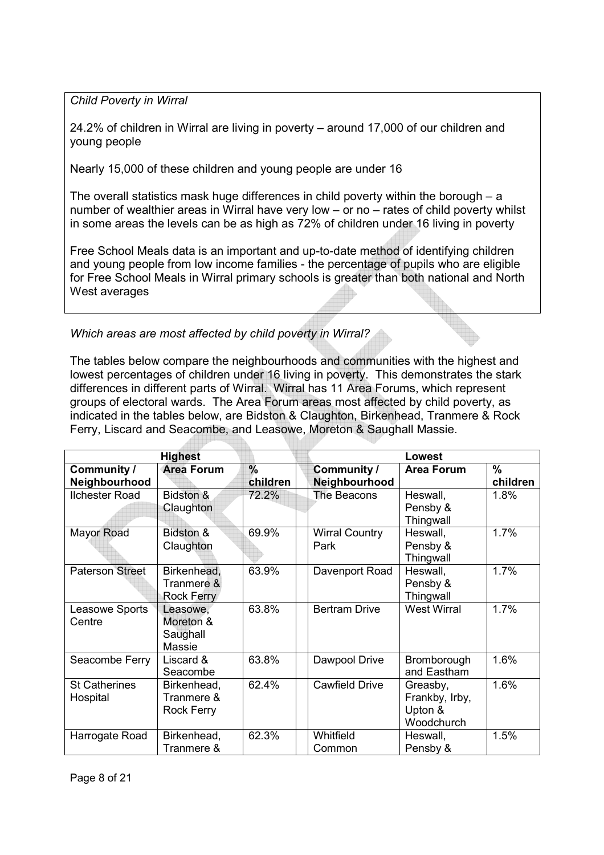*Child Poverty in Wirral* 

24.2% of children in Wirral are living in poverty – around 17,000 of our children and young people

Nearly 15,000 of these children and young people are under 16

The overall statistics mask huge differences in child poverty within the borough – a number of wealthier areas in Wirral have very low – or no – rates of child poverty whilst in some areas the levels can be as high as 72% of children under 16 living in poverty

Free School Meals data is an important and up-to-date method of identifying children and young people from low income families - the percentage of pupils who are eligible for Free School Meals in Wirral primary schools is greater than both national and North West averages

*Which areas are most affected by child poverty in Wirral?* 

The tables below compare the neighbourhoods and communities with the highest and lowest percentages of children under 16 living in poverty. This demonstrates the stark differences in different parts of Wirral. Wirral has 11 Area Forums, which represent groups of electoral wards. The Area Forum areas most affected by child poverty, as indicated in the tables below, are Bidston & Claughton, Birkenhead, Tranmere & Rock Ferry, Liscard and Seacombe, and Leasowe, Moreton & Saughall Massie.

| <b>Highest</b>                   |                                                |                  | Lowest                        |                                                     |                  |
|----------------------------------|------------------------------------------------|------------------|-------------------------------|-----------------------------------------------------|------------------|
| Community /<br>Neighbourhood     | <b>Area Forum</b>                              | $\%$<br>children | Community /<br>Neighbourhood  | <b>Area Forum</b>                                   | $\%$<br>children |
| <b>Ilchester Road</b>            | Bidston &<br>Claughton                         | 72.2%            | The Beacons                   | Heswall,<br>Pensby &<br>Thingwall                   | 1.8%             |
| <b>Mayor Road</b>                | Bidston &<br>Claughton                         | 69.9%            | <b>Wirral Country</b><br>Park | Heswall,<br>Pensby &<br>Thingwall                   | 1.7%             |
| <b>Paterson Street</b>           | Birkenhead,<br>Tranmere &<br><b>Rock Ferry</b> | 63.9%            | Davenport Road                | Heswall,<br>Pensby &<br>Thingwall                   | 1.7%             |
| Leasowe Sports<br>Centre         | Leasowe,<br>Moreton &<br>Saughall<br>Massie    | 63.8%            | <b>Bertram Drive</b>          | <b>West Wirral</b>                                  | 1.7%             |
| Seacombe Ferry                   | Liscard &<br>Seacombe                          | 63.8%            | Dawpool Drive                 | Bromborough<br>and Eastham                          | 1.6%             |
| <b>St Catherines</b><br>Hospital | Birkenhead,<br>Tranmere &<br><b>Rock Ferry</b> | 62.4%            | <b>Cawfield Drive</b>         | Greasby,<br>Frankby, Irby,<br>Upton &<br>Woodchurch | 1.6%             |
| Harrogate Road                   | Birkenhead,<br>Tranmere &                      | 62.3%            | Whitfield<br>Common           | Heswall,<br>Pensby &                                | 1.5%             |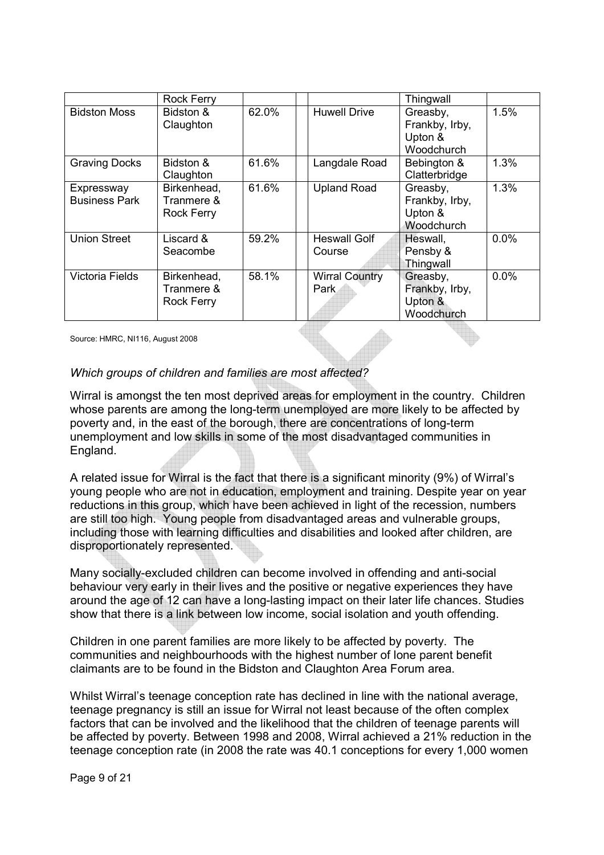|                                    | <b>Rock Ferry</b>                              |       |                               | Thingwall                                           |         |
|------------------------------------|------------------------------------------------|-------|-------------------------------|-----------------------------------------------------|---------|
| <b>Bidston Moss</b>                | Bidston &<br>Claughton                         | 62.0% | <b>Huwell Drive</b>           | Greasby,<br>Frankby, Irby,<br>Upton &<br>Woodchurch | 1.5%    |
| <b>Graving Docks</b>               | Bidston &<br>Claughton                         | 61.6% | Langdale Road                 | Bebington &<br>Clatterbridge                        | 1.3%    |
| Expressway<br><b>Business Park</b> | Birkenhead,<br>Tranmere &<br><b>Rock Ferry</b> | 61.6% | <b>Upland Road</b>            | Greasby,<br>Frankby, Irby,<br>Upton &<br>Woodchurch | 1.3%    |
| <b>Union Street</b>                | Liscard &<br>Seacombe                          | 59.2% | <b>Heswall Golf</b><br>Course | Heswall,<br>Pensby &<br>Thingwall                   | $0.0\%$ |
| <b>Victoria Fields</b>             | Birkenhead,<br>Tranmere &<br><b>Rock Ferry</b> | 58.1% | <b>Wirral Country</b><br>Park | Greasby,<br>Frankby, Irby,<br>Upton &<br>Woodchurch | 0.0%    |

Source: HMRC, NI116, August 2008

#### *Which groups of children and families are most affected?*

Wirral is amongst the ten most deprived areas for employment in the country. Children whose parents are among the long-term unemployed are more likely to be affected by poverty and, in the east of the borough, there are concentrations of long-term unemployment and low skills in some of the most disadvantaged communities in England.

A related issue for Wirral is the fact that there is a significant minority (9%) of Wirral's young people who are not in education, employment and training. Despite year on year reductions in this group, which have been achieved in light of the recession, numbers are still too high. Young people from disadvantaged areas and vulnerable groups, including those with learning difficulties and disabilities and looked after children, are disproportionately represented.

Many socially-excluded children can become involved in offending and anti-social behaviour very early in their lives and the positive or negative experiences they have around the age of 12 can have a long-lasting impact on their later life chances. Studies show that there is a link between low income, social isolation and youth offending.

Children in one parent families are more likely to be affected by poverty. The communities and neighbourhoods with the highest number of lone parent benefit claimants are to be found in the Bidston and Claughton Area Forum area.

Whilst Wirral's teenage conception rate has declined in line with the national average, teenage pregnancy is still an issue for Wirral not least because of the often complex factors that can be involved and the likelihood that the children of teenage parents will be affected by poverty. Between 1998 and 2008, Wirral achieved a 21% reduction in the teenage conception rate (in 2008 the rate was 40.1 conceptions for every 1,000 women

Page 9 of 21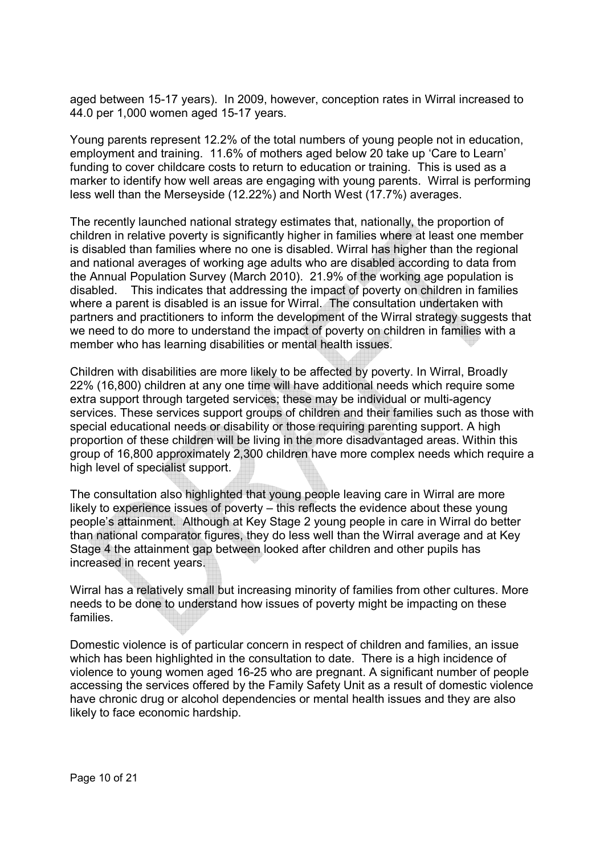aged between 15-17 years). In 2009, however, conception rates in Wirral increased to 44.0 per 1,000 women aged 15-17 years.

Young parents represent 12.2% of the total numbers of young people not in education, employment and training. 11.6% of mothers aged below 20 take up 'Care to Learn' funding to cover childcare costs to return to education or training. This is used as a marker to identify how well areas are engaging with young parents. Wirral is performing less well than the Merseyside (12.22%) and North West (17.7%) averages.

The recently launched national strategy estimates that, nationally, the proportion of children in relative poverty is significantly higher in families where at least one member is disabled than families where no one is disabled. Wirral has higher than the regional and national averages of working age adults who are disabled according to data from the Annual Population Survey (March 2010). 21.9% of the working age population is disabled. This indicates that addressing the impact of poverty on children in families where a parent is disabled is an issue for Wirral. The consultation undertaken with partners and practitioners to inform the development of the Wirral strategy suggests that we need to do more to understand the impact of poverty on children in families with a member who has learning disabilities or mental health issues.

Children with disabilities are more likely to be affected by poverty. In Wirral, Broadly 22% (16,800) children at any one time will have additional needs which require some extra support through targeted services; these may be individual or multi-agency services. These services support groups of children and their families such as those with special educational needs or disability or those requiring parenting support. A high proportion of these children will be living in the more disadvantaged areas. Within this group of 16,800 approximately 2,300 children have more complex needs which require a high level of specialist support.

The consultation also highlighted that young people leaving care in Wirral are more likely to experience issues of poverty – this reflects the evidence about these young people's attainment. Although at Key Stage 2 young people in care in Wirral do better than national comparator figures, they do less well than the Wirral average and at Key Stage 4 the attainment gap between looked after children and other pupils has increased in recent years.

Wirral has a relatively small but increasing minority of families from other cultures. More needs to be done to understand how issues of poverty might be impacting on these families.

Domestic violence is of particular concern in respect of children and families, an issue which has been highlighted in the consultation to date. There is a high incidence of violence to young women aged 16-25 who are pregnant. A significant number of people accessing the services offered by the Family Safety Unit as a result of domestic violence have chronic drug or alcohol dependencies or mental health issues and they are also likely to face economic hardship.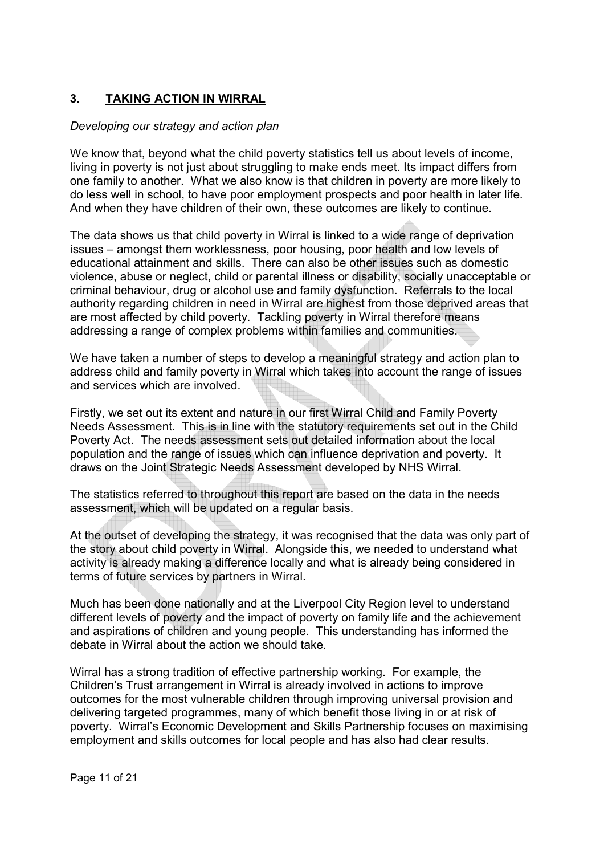## **3. TAKING ACTION IN WIRRAL**

### *Developing our strategy and action plan*

We know that, beyond what the child poverty statistics tell us about levels of income. living in poverty is not just about struggling to make ends meet. Its impact differs from one family to another. What we also know is that children in poverty are more likely to do less well in school, to have poor employment prospects and poor health in later life. And when they have children of their own, these outcomes are likely to continue.

The data shows us that child poverty in Wirral is linked to a wide range of deprivation issues – amongst them worklessness, poor housing, poor health and low levels of educational attainment and skills. There can also be other issues such as domestic violence, abuse or neglect, child or parental illness or disability, socially unacceptable or criminal behaviour, drug or alcohol use and family dysfunction. Referrals to the local authority regarding children in need in Wirral are highest from those deprived areas that are most affected by child poverty. Tackling poverty in Wirral therefore means addressing a range of complex problems within families and communities.

We have taken a number of steps to develop a meaningful strategy and action plan to address child and family poverty in Wirral which takes into account the range of issues and services which are involved.

Firstly, we set out its extent and nature in our first Wirral Child and Family Poverty Needs Assessment. This is in line with the statutory requirements set out in the Child Poverty Act. The needs assessment sets out detailed information about the local population and the range of issues which can influence deprivation and poverty. It draws on the Joint Strategic Needs Assessment developed by NHS Wirral.

The statistics referred to throughout this report are based on the data in the needs assessment, which will be updated on a regular basis.

At the outset of developing the strategy, it was recognised that the data was only part of the story about child poverty in Wirral. Alongside this, we needed to understand what activity is already making a difference locally and what is already being considered in terms of future services by partners in Wirral.

Much has been done nationally and at the Liverpool City Region level to understand different levels of poverty and the impact of poverty on family life and the achievement and aspirations of children and young people. This understanding has informed the debate in Wirral about the action we should take.

Wirral has a strong tradition of effective partnership working. For example, the Children's Trust arrangement in Wirral is already involved in actions to improve outcomes for the most vulnerable children through improving universal provision and delivering targeted programmes, many of which benefit those living in or at risk of poverty. Wirral's Economic Development and Skills Partnership focuses on maximising employment and skills outcomes for local people and has also had clear results.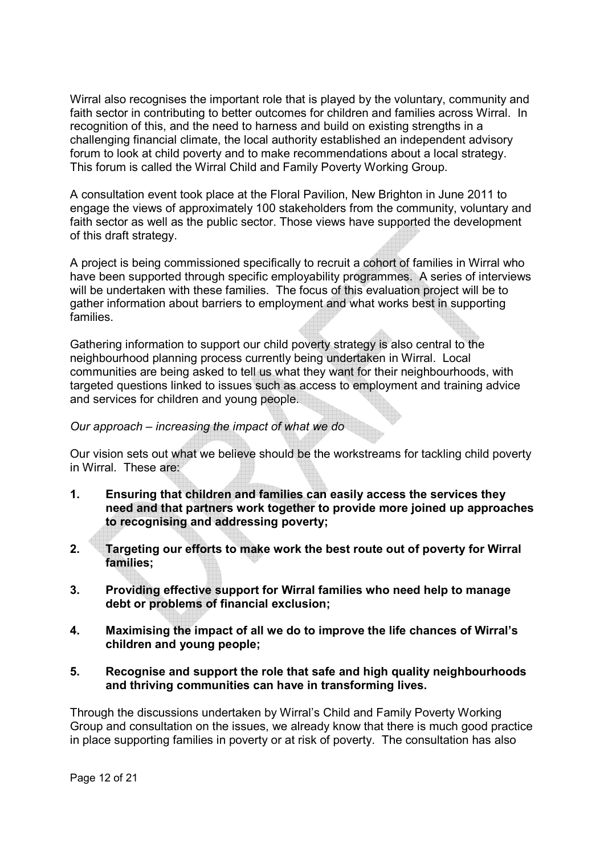Wirral also recognises the important role that is played by the voluntary, community and faith sector in contributing to better outcomes for children and families across Wirral. In recognition of this, and the need to harness and build on existing strengths in a challenging financial climate, the local authority established an independent advisory forum to look at child poverty and to make recommendations about a local strategy. This forum is called the Wirral Child and Family Poverty Working Group.

A consultation event took place at the Floral Pavilion, New Brighton in June 2011 to engage the views of approximately 100 stakeholders from the community, voluntary and faith sector as well as the public sector. Those views have supported the development of this draft strategy.

A project is being commissioned specifically to recruit a cohort of families in Wirral who have been supported through specific employability programmes. A series of interviews will be undertaken with these families. The focus of this evaluation project will be to gather information about barriers to employment and what works best in supporting families.

Gathering information to support our child poverty strategy is also central to the neighbourhood planning process currently being undertaken in Wirral. Local communities are being asked to tell us what they want for their neighbourhoods, with targeted questions linked to issues such as access to employment and training advice and services for children and young people.

#### *Our approach – increasing the impact of what we do*

Our vision sets out what we believe should be the workstreams for tackling child poverty in Wirral. These are:

- **1. Ensuring that children and families can easily access the services they need and that partners work together to provide more joined up approaches to recognising and addressing poverty;**
- **2. Targeting our efforts to make work the best route out of poverty for Wirral families;**
- **3. Providing effective support for Wirral families who need help to manage debt or problems of financial exclusion;**
- **4. Maximising the impact of all we do to improve the life chances of Wirral's children and young people;**
- **5. Recognise and support the role that safe and high quality neighbourhoods and thriving communities can have in transforming lives.**

Through the discussions undertaken by Wirral's Child and Family Poverty Working Group and consultation on the issues, we already know that there is much good practice in place supporting families in poverty or at risk of poverty. The consultation has also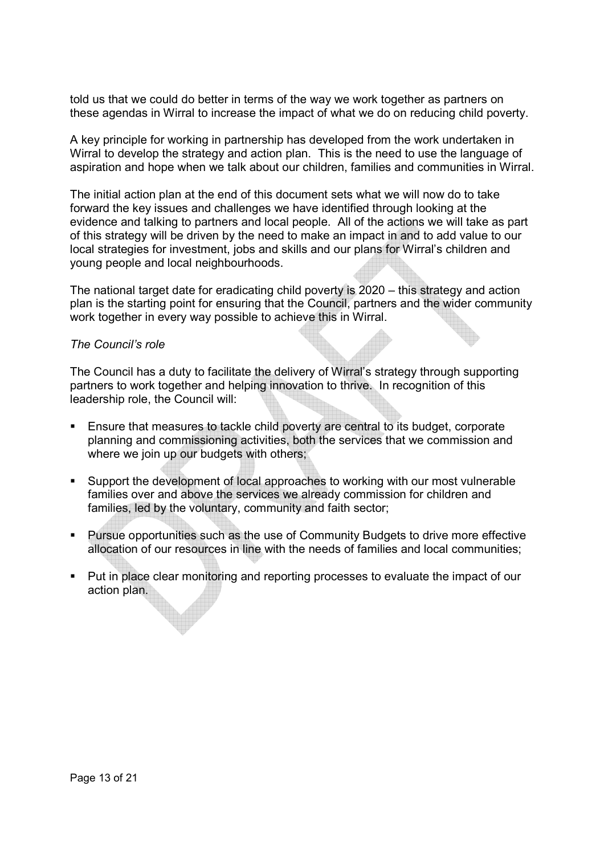told us that we could do better in terms of the way we work together as partners on these agendas in Wirral to increase the impact of what we do on reducing child poverty.

A key principle for working in partnership has developed from the work undertaken in Wirral to develop the strategy and action plan. This is the need to use the language of aspiration and hope when we talk about our children, families and communities in Wirral.

The initial action plan at the end of this document sets what we will now do to take forward the key issues and challenges we have identified through looking at the evidence and talking to partners and local people. All of the actions we will take as part of this strategy will be driven by the need to make an impact in and to add value to our local strategies for investment, jobs and skills and our plans for Wirral's children and young people and local neighbourhoods.

The national target date for eradicating child poverty is 2020 – this strategy and action plan is the starting point for ensuring that the Council, partners and the wider community work together in every way possible to achieve this in Wirral.

#### *The Council's role*

The Council has a duty to facilitate the delivery of Wirral's strategy through supporting partners to work together and helping innovation to thrive. In recognition of this leadership role, the Council will:

- Ensure that measures to tackle child poverty are central to its budget, corporate planning and commissioning activities, both the services that we commission and where we join up our budgets with others;
- § Support the development of local approaches to working with our most vulnerable families over and above the services we already commission for children and families, led by the voluntary, community and faith sector;
- § Pursue opportunities such as the use of Community Budgets to drive more effective allocation of our resources in line with the needs of families and local communities;
- Put in place clear monitoring and reporting processes to evaluate the impact of our action plan.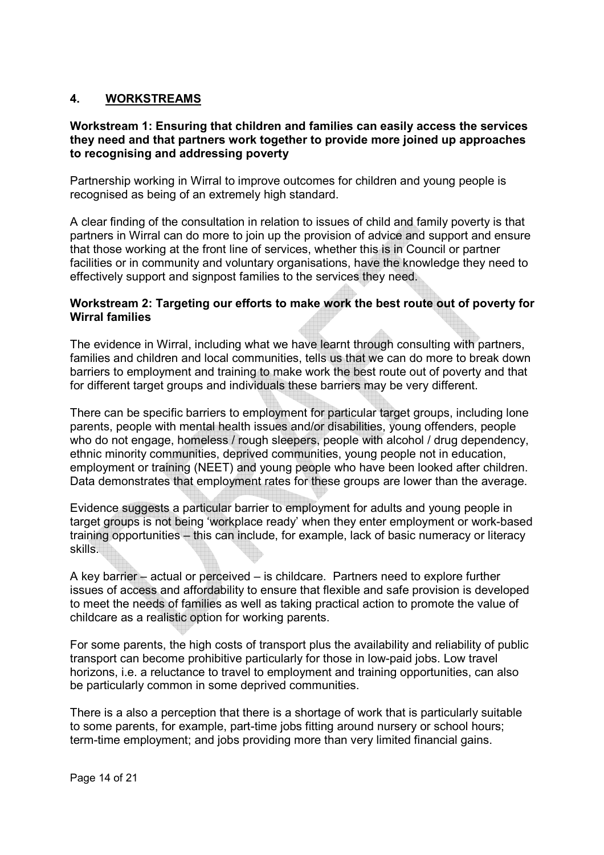### **4. WORKSTREAMS**

#### **Workstream 1: Ensuring that children and families can easily access the services they need and that partners work together to provide more joined up approaches to recognising and addressing poverty**

Partnership working in Wirral to improve outcomes for children and young people is recognised as being of an extremely high standard.

A clear finding of the consultation in relation to issues of child and family poverty is that partners in Wirral can do more to join up the provision of advice and support and ensure that those working at the front line of services, whether this is in Council or partner facilities or in community and voluntary organisations, have the knowledge they need to effectively support and signpost families to the services they need.

#### **Workstream 2: Targeting our efforts to make work the best route out of poverty for Wirral families**

The evidence in Wirral, including what we have learnt through consulting with partners, families and children and local communities, tells us that we can do more to break down barriers to employment and training to make work the best route out of poverty and that for different target groups and individuals these barriers may be very different.

There can be specific barriers to employment for particular target groups, including lone parents, people with mental health issues and/or disabilities, young offenders, people who do not engage, homeless / rough sleepers, people with alcohol / drug dependency, ethnic minority communities, deprived communities, young people not in education, employment or training (NEET) and young people who have been looked after children. Data demonstrates that employment rates for these groups are lower than the average.

Evidence suggests a particular barrier to employment for adults and young people in target groups is not being 'workplace ready' when they enter employment or work-based training opportunities – this can include, for example, lack of basic numeracy or literacy skills.

A key barrier – actual or perceived – is childcare. Partners need to explore further issues of access and affordability to ensure that flexible and safe provision is developed to meet the needs of families as well as taking practical action to promote the value of childcare as a realistic option for working parents.

For some parents, the high costs of transport plus the availability and reliability of public transport can become prohibitive particularly for those in low-paid jobs. Low travel horizons, i.e. a reluctance to travel to employment and training opportunities, can also be particularly common in some deprived communities.

There is a also a perception that there is a shortage of work that is particularly suitable to some parents, for example, part-time jobs fitting around nursery or school hours; term-time employment; and jobs providing more than very limited financial gains.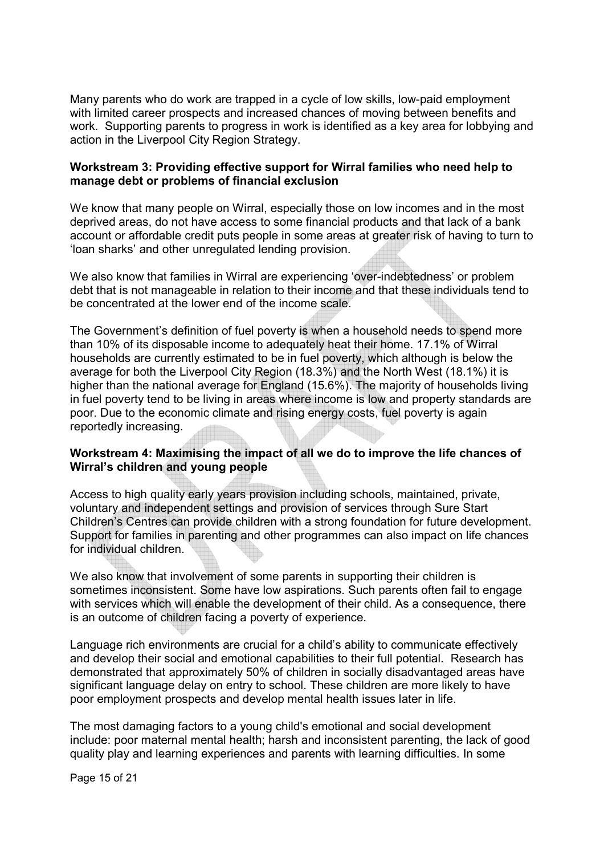Many parents who do work are trapped in a cycle of low skills, low-paid employment with limited career prospects and increased chances of moving between benefits and work. Supporting parents to progress in work is identified as a key area for lobbying and action in the Liverpool City Region Strategy.

#### **Workstream 3: Providing effective support for Wirral families who need help to manage debt or problems of financial exclusion**

We know that many people on Wirral, especially those on low incomes and in the most deprived areas, do not have access to some financial products and that lack of a bank account or affordable credit puts people in some areas at greater risk of having to turn to 'loan sharks' and other unregulated lending provision.

We also know that families in Wirral are experiencing 'over-indebtedness' or problem debt that is not manageable in relation to their income and that these individuals tend to be concentrated at the lower end of the income scale.

The Government's definition of fuel poverty is when a household needs to spend more than 10% of its disposable income to adequately heat their home. 17.1% of Wirral households are currently estimated to be in fuel poverty, which although is below the average for both the Liverpool City Region (18.3%) and the North West (18.1%) it is higher than the national average for England (15.6%). The majority of households living in fuel poverty tend to be living in areas where income is low and property standards are poor. Due to the economic climate and rising energy costs, fuel poverty is again reportedly increasing.

#### **Workstream 4: Maximising the impact of all we do to improve the life chances of Wirral's children and young people**

Access to high quality early years provision including schools, maintained, private, voluntary and independent settings and provision of services through Sure Start Children's Centres can provide children with a strong foundation for future development. Support for families in parenting and other programmes can also impact on life chances for individual children.

We also know that involvement of some parents in supporting their children is sometimes inconsistent. Some have low aspirations. Such parents often fail to engage with services which will enable the development of their child. As a consequence, there is an outcome of children facing a poverty of experience.

Language rich environments are crucial for a child's ability to communicate effectively and develop their social and emotional capabilities to their full potential. Research has demonstrated that approximately 50% of children in socially disadvantaged areas have significant language delay on entry to school. These children are more likely to have poor employment prospects and develop mental health issues later in life.

The most damaging factors to a young child's emotional and social development include: poor maternal mental health; harsh and inconsistent parenting, the lack of good quality play and learning experiences and parents with learning difficulties. In some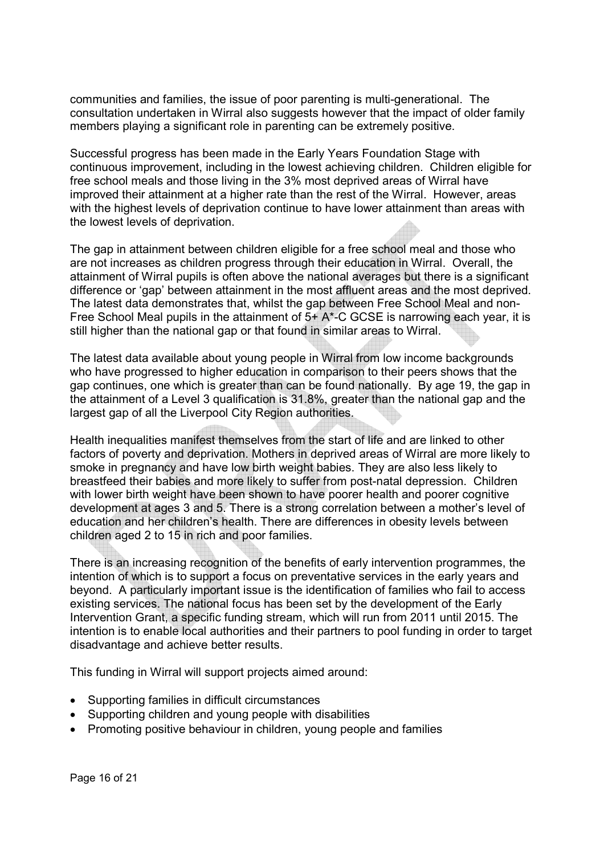communities and families, the issue of poor parenting is multi-generational. The consultation undertaken in Wirral also suggests however that the impact of older family members playing a significant role in parenting can be extremely positive.

Successful progress has been made in the Early Years Foundation Stage with continuous improvement, including in the lowest achieving children. Children eligible for free school meals and those living in the 3% most deprived areas of Wirral have improved their attainment at a higher rate than the rest of the Wirral. However, areas with the highest levels of deprivation continue to have lower attainment than areas with the lowest levels of deprivation.

The gap in attainment between children eligible for a free school meal and those who are not increases as children progress through their education in Wirral. Overall, the attainment of Wirral pupils is often above the national averages but there is a significant difference or 'gap' between attainment in the most affluent areas and the most deprived. The latest data demonstrates that, whilst the gap between Free School Meal and non-Free School Meal pupils in the attainment of 5+ A\*-C GCSE is narrowing each year, it is still higher than the national gap or that found in similar areas to Wirral.

The latest data available about young people in Wirral from low income backgrounds who have progressed to higher education in comparison to their peers shows that the gap continues, one which is greater than can be found nationally. By age 19, the gap in the attainment of a Level 3 qualification is 31.8%, greater than the national gap and the largest gap of all the Liverpool City Region authorities.

Health inequalities manifest themselves from the start of life and are linked to other factors of poverty and deprivation. Mothers in deprived areas of Wirral are more likely to smoke in pregnancy and have low birth weight babies. They are also less likely to breastfeed their babies and more likely to suffer from post-natal depression. Children with lower birth weight have been shown to have poorer health and poorer cognitive development at ages 3 and 5. There is a strong correlation between a mother's level of education and her children's health. There are differences in obesity levels between children aged 2 to 15 in rich and poor families.

There is an increasing recognition of the benefits of early intervention programmes, the intention of which is to support a focus on preventative services in the early years and beyond. A particularly important issue is the identification of families who fail to access existing services. The national focus has been set by the development of the Early Intervention Grant, a specific funding stream, which will run from 2011 until 2015. The intention is to enable local authorities and their partners to pool funding in order to target disadvantage and achieve better results.

This funding in Wirral will support projects aimed around:

- Supporting families in difficult circumstances
- Supporting children and young people with disabilities
- Promoting positive behaviour in children, young people and families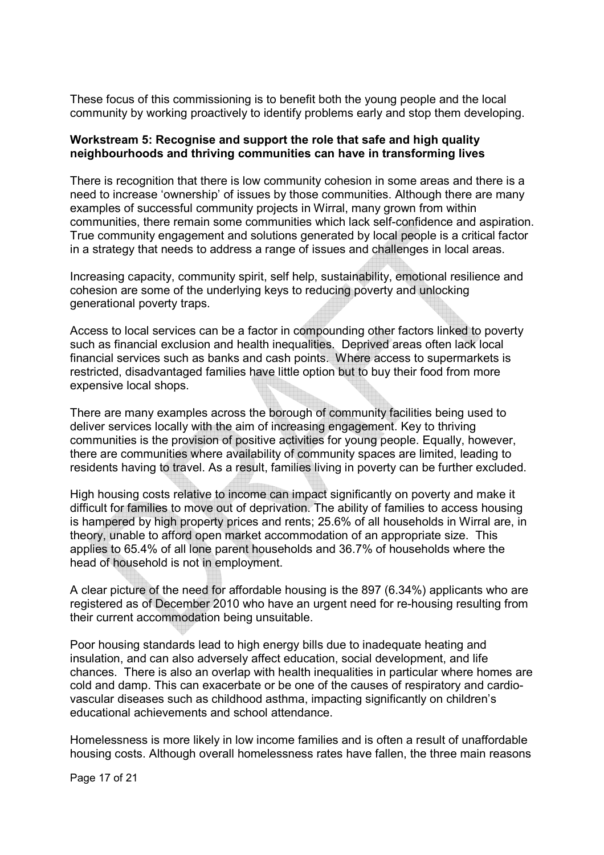These focus of this commissioning is to benefit both the young people and the local community by working proactively to identify problems early and stop them developing.

#### **Workstream 5: Recognise and support the role that safe and high quality neighbourhoods and thriving communities can have in transforming lives**

There is recognition that there is low community cohesion in some areas and there is a need to increase 'ownership' of issues by those communities. Although there are many examples of successful community projects in Wirral, many grown from within communities, there remain some communities which lack self-confidence and aspiration. True community engagement and solutions generated by local people is a critical factor in a strategy that needs to address a range of issues and challenges in local areas.

Increasing capacity, community spirit, self help, sustainability, emotional resilience and cohesion are some of the underlying keys to reducing poverty and unlocking generational poverty traps.

Access to local services can be a factor in compounding other factors linked to poverty such as financial exclusion and health inequalities. Deprived areas often lack local financial services such as banks and cash points. Where access to supermarkets is restricted, disadvantaged families have little option but to buy their food from more expensive local shops.

There are many examples across the borough of community facilities being used to deliver services locally with the aim of increasing engagement. Key to thriving communities is the provision of positive activities for young people. Equally, however, there are communities where availability of community spaces are limited, leading to residents having to travel. As a result, families living in poverty can be further excluded.

High housing costs relative to income can impact significantly on poverty and make it difficult for families to move out of deprivation. The ability of families to access housing is hampered by high property prices and rents; 25.6% of all households in Wirral are, in theory, unable to afford open market accommodation of an appropriate size. This applies to 65.4% of all lone parent households and 36.7% of households where the head of household is not in employment.

A clear picture of the need for affordable housing is the 897 (6.34%) applicants who are registered as of December 2010 who have an urgent need for re-housing resulting from their current accommodation being unsuitable.

Poor housing standards lead to high energy bills due to inadequate heating and insulation, and can also adversely affect education, social development, and life chances. There is also an overlap with health inequalities in particular where homes are cold and damp. This can exacerbate or be one of the causes of respiratory and cardiovascular diseases such as childhood asthma, impacting significantly on children's educational achievements and school attendance.

Homelessness is more likely in low income families and is often a result of unaffordable housing costs. Although overall homelessness rates have fallen, the three main reasons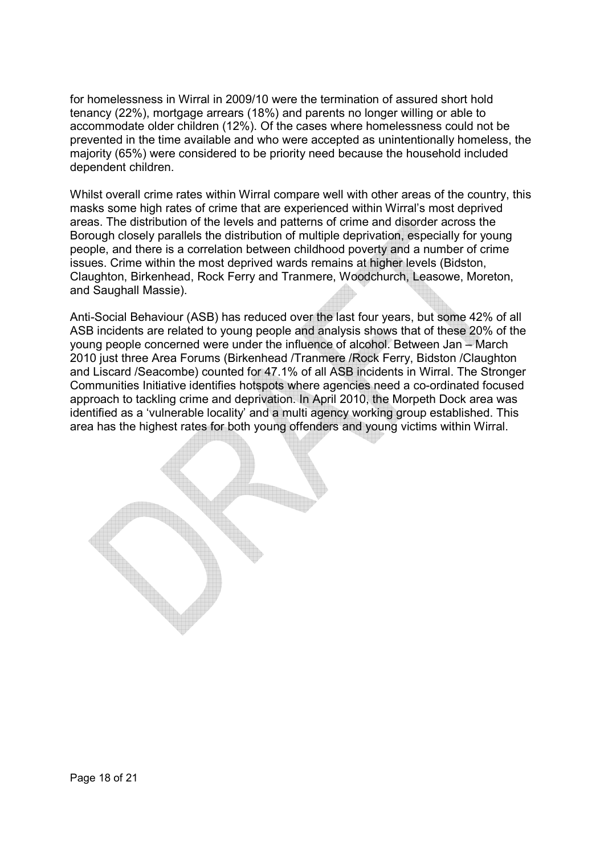for homelessness in Wirral in 2009/10 were the termination of assured short hold tenancy (22%), mortgage arrears (18%) and parents no longer willing or able to accommodate older children (12%). Of the cases where homelessness could not be prevented in the time available and who were accepted as unintentionally homeless, the majority (65%) were considered to be priority need because the household included dependent children.

Whilst overall crime rates within Wirral compare well with other areas of the country, this masks some high rates of crime that are experienced within Wirral's most deprived areas. The distribution of the levels and patterns of crime and disorder across the Borough closely parallels the distribution of multiple deprivation, especially for young people, and there is a correlation between childhood poverty and a number of crime issues. Crime within the most deprived wards remains at higher levels (Bidston, Claughton, Birkenhead, Rock Ferry and Tranmere, Woodchurch, Leasowe, Moreton, and Saughall Massie).

Anti-Social Behaviour (ASB) has reduced over the last four years, but some 42% of all ASB incidents are related to young people and analysis shows that of these 20% of the young people concerned were under the influence of alcohol. Between Jan – March 2010 just three Area Forums (Birkenhead /Tranmere /Rock Ferry, Bidston /Claughton and Liscard /Seacombe) counted for 47.1% of all ASB incidents in Wirral. The Stronger Communities Initiative identifies hotspots where agencies need a co-ordinated focused approach to tackling crime and deprivation. In April 2010, the Morpeth Dock area was identified as a 'vulnerable locality' and a multi agency working group established. This area has the highest rates for both young offenders and young victims within Wirral.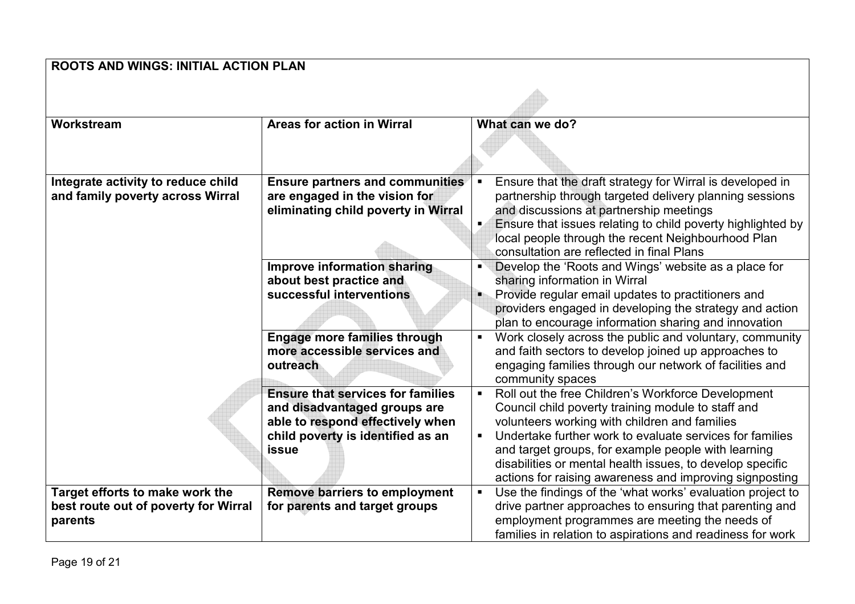| <b>ROOTS AND WINGS: INITIAL ACTION PLAN</b>                             |                                                                       |                                                                                                                                         |  |  |
|-------------------------------------------------------------------------|-----------------------------------------------------------------------|-----------------------------------------------------------------------------------------------------------------------------------------|--|--|
|                                                                         |                                                                       |                                                                                                                                         |  |  |
| Workstream                                                              | <b>Areas for action in Wirral</b>                                     | What can we do?                                                                                                                         |  |  |
|                                                                         |                                                                       |                                                                                                                                         |  |  |
| Integrate activity to reduce child                                      | <b>Ensure partners and communities</b>                                | Ensure that the draft strategy for Wirral is developed in<br>$\blacksquare$                                                             |  |  |
| and family poverty across Wirral                                        | are engaged in the vision for                                         | partnership through targeted delivery planning sessions                                                                                 |  |  |
|                                                                         | eliminating child poverty in Wirral                                   | and discussions at partnership meetings                                                                                                 |  |  |
|                                                                         |                                                                       | Ensure that issues relating to child poverty highlighted by<br>local people through the recent Neighbourhood Plan                       |  |  |
|                                                                         |                                                                       | consultation are reflected in final Plans                                                                                               |  |  |
|                                                                         | Improve information sharing                                           | Develop the 'Roots and Wings' website as a place for<br>$\blacksquare$                                                                  |  |  |
|                                                                         | about best practice and                                               | sharing information in Wirral                                                                                                           |  |  |
|                                                                         | successful interventions                                              | Provide regular email updates to practitioners and                                                                                      |  |  |
|                                                                         |                                                                       | providers engaged in developing the strategy and action                                                                                 |  |  |
|                                                                         |                                                                       | plan to encourage information sharing and innovation                                                                                    |  |  |
|                                                                         | <b>Engage more families through</b>                                   | Work closely across the public and voluntary, community<br>$\blacksquare$                                                               |  |  |
|                                                                         | more accessible services and                                          | and faith sectors to develop joined up approaches to                                                                                    |  |  |
|                                                                         | outreach                                                              | engaging families through our network of facilities and<br>community spaces                                                             |  |  |
|                                                                         | <b>Ensure that services for families</b>                              | Roll out the free Children's Workforce Development<br>$\blacksquare$                                                                    |  |  |
|                                                                         | and disadvantaged groups are                                          | Council child poverty training module to staff and                                                                                      |  |  |
|                                                                         | able to respond effectively when                                      | volunteers working with children and families                                                                                           |  |  |
|                                                                         | child poverty is identified as an                                     | Undertake further work to evaluate services for families<br>$\blacksquare$                                                              |  |  |
|                                                                         | <b>issue</b>                                                          | and target groups, for example people with learning                                                                                     |  |  |
|                                                                         |                                                                       | disabilities or mental health issues, to develop specific                                                                               |  |  |
|                                                                         |                                                                       | actions for raising awareness and improving signposting                                                                                 |  |  |
| Target efforts to make work the<br>best route out of poverty for Wirral | <b>Remove barriers to employment</b><br>for parents and target groups | Use the findings of the 'what works' evaluation project to<br>$\blacksquare$<br>drive partner approaches to ensuring that parenting and |  |  |
| parents                                                                 |                                                                       | employment programmes are meeting the needs of                                                                                          |  |  |
|                                                                         |                                                                       | families in relation to aspirations and readiness for work                                                                              |  |  |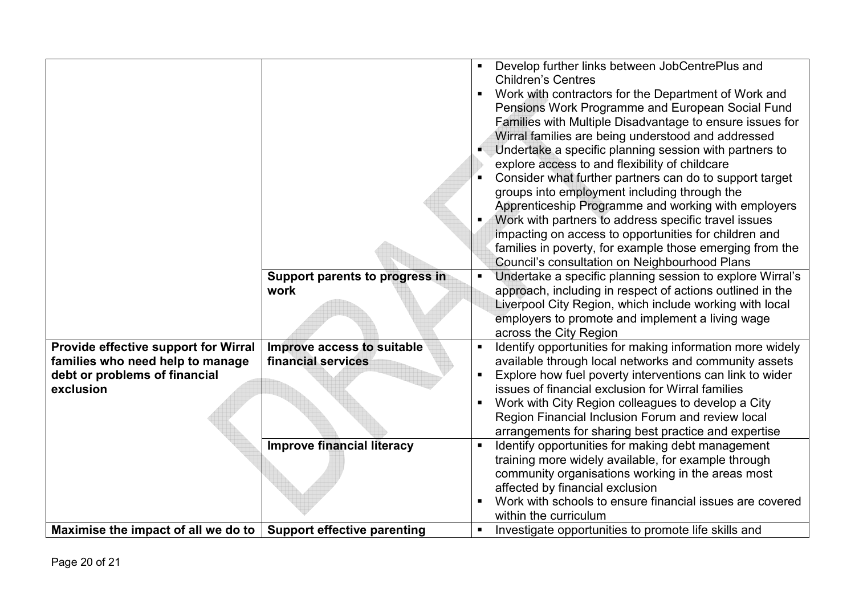|                                      |                                       | Develop further links between JobCentrePlus and<br>$\blacksquare$           |
|--------------------------------------|---------------------------------------|-----------------------------------------------------------------------------|
|                                      |                                       | <b>Children's Centres</b>                                                   |
|                                      |                                       | Work with contractors for the Department of Work and<br>٠                   |
|                                      |                                       | Pensions Work Programme and European Social Fund                            |
|                                      |                                       | Families with Multiple Disadvantage to ensure issues for                    |
|                                      |                                       | Wirral families are being understood and addressed                          |
|                                      |                                       | Undertake a specific planning session with partners to                      |
|                                      |                                       | explore access to and flexibility of childcare                              |
|                                      |                                       | Consider what further partners can do to support target                     |
|                                      |                                       | groups into employment including through the                                |
|                                      |                                       | Apprenticeship Programme and working with employers                         |
|                                      |                                       | Work with partners to address specific travel issues<br>$\blacksquare$      |
|                                      |                                       | impacting on access to opportunities for children and                       |
|                                      |                                       | families in poverty, for example those emerging from the                    |
|                                      |                                       | Council's consultation on Neighbourhood Plans                               |
|                                      | <b>Support parents to progress in</b> | Undertake a specific planning session to explore Wirral's<br>$\blacksquare$ |
|                                      | work                                  | approach, including in respect of actions outlined in the                   |
|                                      |                                       | Liverpool City Region, which include working with local                     |
|                                      |                                       | employers to promote and implement a living wage                            |
|                                      |                                       | across the City Region                                                      |
| Provide effective support for Wirral | Improve access to suitable            | Identify opportunities for making information more widely<br>$\blacksquare$ |
| families who need help to manage     | financial services                    | available through local networks and community assets                       |
| debt or problems of financial        |                                       | Explore how fuel poverty interventions can link to wider<br>$\blacksquare$  |
| exclusion                            |                                       | issues of financial exclusion for Wirral families                           |
|                                      |                                       | Work with City Region colleagues to develop a City<br>п                     |
|                                      |                                       | Region Financial Inclusion Forum and review local                           |
|                                      |                                       | arrangements for sharing best practice and expertise                        |
|                                      | <b>Improve financial literacy</b>     | Identify opportunities for making debt management<br>$\blacksquare$         |
|                                      |                                       | training more widely available, for example through                         |
|                                      |                                       | community organisations working in the areas most                           |
|                                      |                                       | affected by financial exclusion                                             |
|                                      |                                       | Work with schools to ensure financial issues are covered<br>٠               |
|                                      |                                       | within the curriculum                                                       |
| Maximise the impact of all we do to  | <b>Support effective parenting</b>    | Investigate opportunities to promote life skills and<br>٠                   |